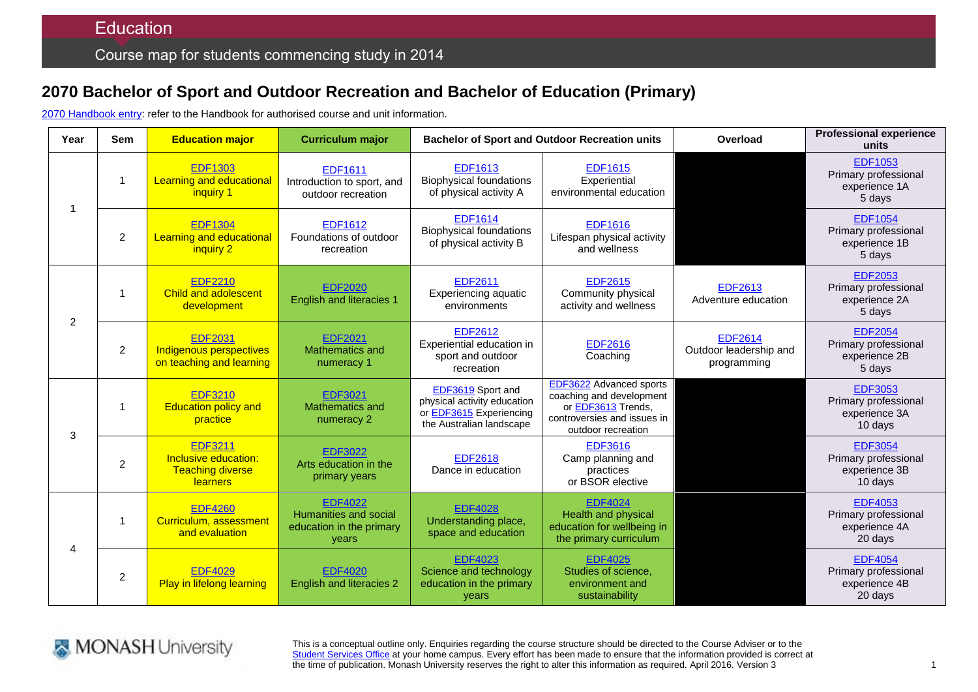# **2070 Bachelor of Sport and Outdoor Recreation and Bachelor of Education (Primary)**

2070 [Handbook entry:](http://www.monash.edu.au/pubs/2014handbooks/courses/2070.html) refer to the Handbook for authorised course and unit information.

| Year           | <b>Sem</b>     | <b>Education major</b>                                                        | <b>Curriculum major</b>                                                      | <b>Bachelor of Sport and Outdoor Recreation units</b>                                                   |                                                                                                                                       | Overload                                                | <b>Professional experience</b><br>units                            |
|----------------|----------------|-------------------------------------------------------------------------------|------------------------------------------------------------------------------|---------------------------------------------------------------------------------------------------------|---------------------------------------------------------------------------------------------------------------------------------------|---------------------------------------------------------|--------------------------------------------------------------------|
|                | -1             | <b>EDF1303</b><br>Learning and educational<br>inguiry 1                       | <b>EDF1611</b><br>Introduction to sport, and<br>outdoor recreation           | <b>EDF1613</b><br><b>Biophysical foundations</b><br>of physical activity A                              | <b>EDF1615</b><br>Experiential<br>environmental education                                                                             |                                                         | <b>EDF1053</b><br>Primary professional<br>experience 1A<br>5 days  |
|                | $\overline{c}$ | <b>EDF1304</b><br>Learning and educational<br>inquiry 2                       | <b>EDF1612</b><br>Foundations of outdoor<br>recreation                       | <b>EDF1614</b><br><b>Biophysical foundations</b><br>of physical activity B                              | <b>EDF1616</b><br>Lifespan physical activity<br>and wellness                                                                          |                                                         | <b>EDF1054</b><br>Primary professional<br>experience 1B<br>5 days  |
| 2              | $\overline{1}$ | <b>EDF2210</b><br><b>Child and adolescent</b><br>development                  | <b>EDF2020</b><br><b>English and literacies 1</b>                            | <b>EDF2611</b><br>Experiencing aquatic<br>environments                                                  | <b>EDF2615</b><br>Community physical<br>activity and wellness                                                                         | <b>EDF2613</b><br>Adventure education                   | <b>EDF2053</b><br>Primary professional<br>experience 2A<br>5 days  |
|                | $\overline{c}$ | <b>EDF2031</b><br>Indigenous perspectives<br>on teaching and learning         | <b>EDF2021</b><br>Mathematics and<br>numeracy 1                              | <b>EDF2612</b><br>Experiential education in<br>sport and outdoor<br>recreation                          | <b>EDF2616</b><br>Coaching                                                                                                            | <b>EDF2614</b><br>Outdoor leadership and<br>programming | <b>EDF2054</b><br>Primary professional<br>experience 2B<br>5 days  |
| 3              | $\overline{1}$ | <b>EDF3210</b><br><b>Education policy and</b><br>practice                     | <b>EDF3021</b><br>Mathematics and<br>numeracy 2                              | EDF3619 Sport and<br>physical activity education<br>or EDF3615 Experiencing<br>the Australian landscape | <b>EDF3622</b> Advanced sports<br>coaching and development<br>or EDF3613 Trends,<br>controversies and issues in<br>outdoor recreation |                                                         | <b>EDF3053</b><br>Primary professional<br>experience 3A<br>10 days |
|                | $\overline{c}$ | <b>EDF3211</b><br>Inclusive education:<br><b>Teaching diverse</b><br>learners | <b>EDF3022</b><br>Arts education in the<br>primary years                     | <b>EDF2618</b><br>Dance in education                                                                    | <b>EDF3616</b><br>Camp planning and<br>practices<br>or BSOR elective                                                                  |                                                         | <b>EDF3054</b><br>Primary professional<br>experience 3B<br>10 days |
| $\overline{4}$ | $\overline{1}$ | <b>EDF4260</b><br>Curriculum, assessment<br>and evaluation                    | <b>EDF4022</b><br>Humanities and social<br>education in the primary<br>years | <b>EDF4028</b><br>Understanding place,<br>space and education                                           | <b>EDF4024</b><br><b>Health and physical</b><br>education for wellbeing in<br>the primary curriculum                                  |                                                         | <b>EDF4053</b><br>Primary professional<br>experience 4A<br>20 days |
|                | $\overline{c}$ | <b>EDF4029</b><br><b>Play in lifelong learning</b>                            | <b>EDF4020</b><br><b>English and literacies 2</b>                            | <b>EDF4023</b><br>Science and technology<br>education in the primary<br>years                           | <b>EDF4025</b><br>Studies of science,<br>environment and<br>sustainability                                                            |                                                         | <b>EDF4054</b><br>Primary professional<br>experience 4B<br>20 days |



This is a conceptual outline only. Enquiries regarding the course structure should be directed to the Course Adviser or to the [Student Services Office](http://www.education.monash.edu.au/contacts/) at your home campus. Every effort has been made to ensure that the information provided is correct at the time of publication. Monash University reserves the right to alter this information as required. April 2016. Version 3